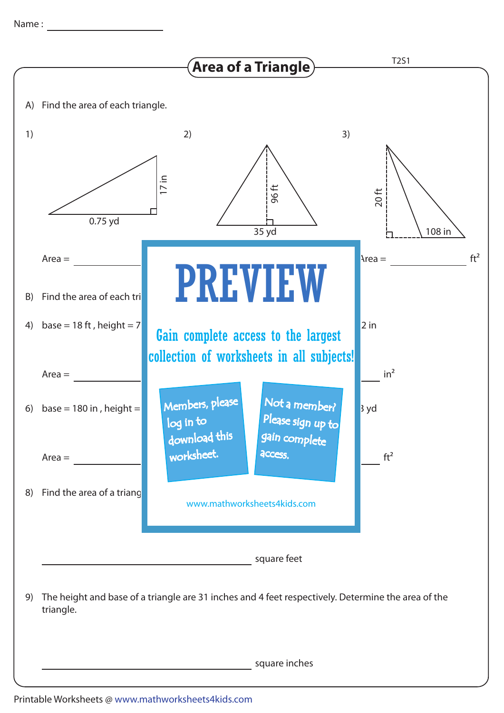